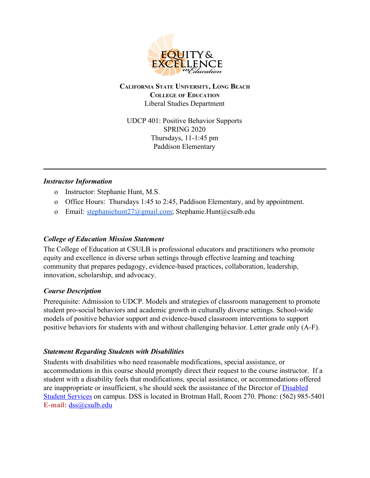

**CALIFORNIA STATE UNIVERSITY, LONG BEACH COLLEGE OF EDUCATION** Liberal Studies Department

UDCP 401: Positive Behavior Supports SPRING 2020 Thursdays, 11-1:45 pm Paddison Elementary

#### *Instructor Information*

- o Instructor: Stephanie Hunt, M.S.
- o Office Hours: Thursdays 1:45 to 2:45, Paddison Elementary, and by appointment.
- o Email: [stephaniehunt27@gmail.com;](mailto:stephaniehunt27@gmail.com) Stephanie.Hunt@csulb.edu

#### *College of Education Mission Statement*

The College of Education at CSULB is professional educators and practitioners who promote equity and excellence in diverse urban settings through effective learning and teaching community that prepares pedagogy, evidence-based practices, collaboration, leadership, innovation, scholarship, and advocacy.

#### *Course Description*

Prerequisite: Admission to UDCP. Models and strategies of classroom management to promote student pro-social behaviors and academic growth in culturally diverse settings. School-wide models of positive behavior support and evidence-based classroom interventions to support positive behaviors for students with and without challenging behavior. Letter grade only (A-F).

## *Statement Regarding Students with Disabilities*

Students with disabilities who need reasonable modifications, special assistance, or accommodations in this course should promptly direct their request to the course instructor. If a student with a disability feels that modifications, special assistance, or accommodations offered are inappropriate or insufficient, s/he should seek the assistance of the Director of **[Disabled](http://www.csulb.edu/divisions/students/dss/)** [Student Services](http://www.csulb.edu/divisions/students/dss/) on campus. DSS is located in Brotman Hall, Room 270. Phone: (562) 985-5401 **E-mail:** [dss@csulb.edu](mailto:dss@csulb.edu)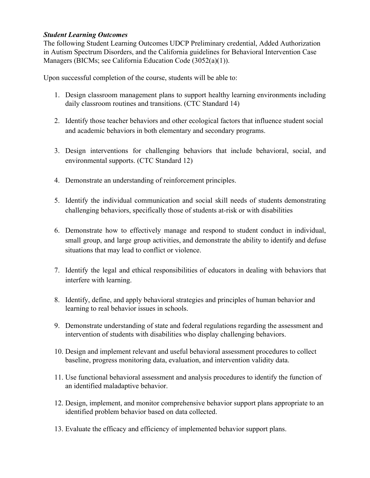#### *Student Learning Outcomes*

The following Student Learning Outcomes UDCP Preliminary credential, Added Authorization in Autism Spectrum Disorders, and the California guidelines for Behavioral Intervention Case Managers (BICMs; see California Education Code (3052(a)(1)).

Upon successful completion of the course, students will be able to:

- 1. Design classroom management plans to support healthy learning environments including daily classroom routines and transitions. (CTC Standard 14)
- 2. Identify those teacher behaviors and other ecological factors that influence student social and academic behaviors in both elementary and secondary programs.
- 3. Design interventions for challenging behaviors that include behavioral, social, and environmental supports. (CTC Standard 12)
- 4. Demonstrate an understanding of reinforcement principles.
- 5. Identify the individual communication and social skill needs of students demonstrating challenging behaviors, specifically those of students at-risk or with disabilities
- 6. Demonstrate how to effectively manage and respond to student conduct in individual, small group, and large group activities, and demonstrate the ability to identify and defuse situations that may lead to conflict or violence.
- 7. Identify the legal and ethical responsibilities of educators in dealing with behaviors that interfere with learning.
- 8. Identify, define, and apply behavioral strategies and principles of human behavior and learning to real behavior issues in schools.
- 9. Demonstrate understanding of state and federal regulations regarding the assessment and intervention of students with disabilities who display challenging behaviors.
- 10. Design and implement relevant and useful behavioral assessment procedures to collect baseline, progress monitoring data, evaluation, and intervention validity data.
- 11. Use functional behavioral assessment and analysis procedures to identify the function of an identified maladaptive behavior.
- 12. Design, implement, and monitor comprehensive behavior support plans appropriate to an identified problem behavior based on data collected.
- 13. Evaluate the efficacy and efficiency of implemented behavior support plans.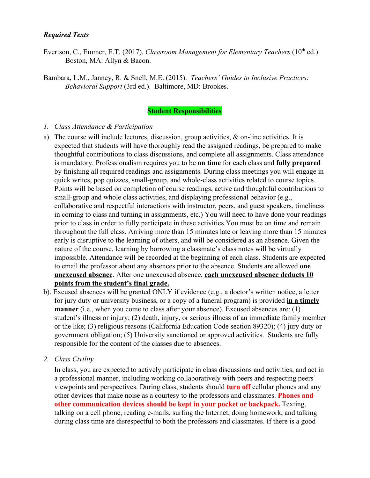#### *Required Texts*

- Evertson, C., Emmer, E.T. (2017). *Classroom Management for Elementary Teachers* (10<sup>th</sup> ed.). Boston, MA: Allyn & Bacon.
- Bambara, L.M., Janney, R. & Snell, M.E. (2015). *Teachers' Guides to Inclusive Practices: Behavioral Support* (3rd ed.). Baltimore, MD: Brookes.

#### **Student Responsibilities**

#### *1. Class Attendance & Participation*

- a). The course will include lectures, discussion, group activities, & on-line activities. It is expected that students will have thoroughly read the assigned readings, be prepared to make thoughtful contributions to class discussions, and complete all assignments. Class attendance is mandatory. Professionalism requires you to be **on time** for each class and **fully prepared** by finishing all required readings and assignments. During class meetings you will engage in quick writes, pop quizzes, small-group, and whole-class activities related to course topics. Points will be based on completion of course readings, active and thoughtful contributions to small-group and whole class activities, and displaying professional behavior (e.g., collaborative and respectful interactions with instructor, peers, and guest speakers, timeliness in coming to class and turning in assignments, etc.) You will need to have done your readings prior to class in order to fully participate in these activities.You must be on time and remain throughout the full class. Arriving more than 15 minutes late or leaving more than 15 minutes early is disruptive to the learning of others, and will be considered as an absence. Given the nature of the course, learning by borrowing a classmate's class notes will be virtually impossible. Attendance will be recorded at the beginning of each class. Students are expected to email the professor about any absences prior to the absence. Students are allowed **one unexcused absence**. After one unexcused absence, **each unexcused absence deducts 10 points from the student's final grade.**
- b). Excused absences will be granted ONLY if evidence (e.g., a doctor's written notice, a letter for jury duty or university business, or a copy of a funeral program) is provided **in a timely manner** (i.e., when you come to class after your absence). Excused absences are: (1) student's illness or injury; (2) death, injury, or serious illness of an immediate family member or the like; (3) religious reasons (California Education Code section 89320); (4) jury duty or government obligation; (5) University sanctioned or approved activities. Students are fully responsible for the content of the classes due to absences.
- *2. Class Civility*

In class, you are expected to actively participate in class discussions and activities, and act in a professional manner, including working collaboratively with peers and respecting peers' viewpoints and perspectives. During class, students should **turn off** cellular phones and any other devices that make noise as a courtesy to the professors and classmates. **Phones and other communication devices should be kept in your pocket or backpack.** Texting, talking on a cell phone, reading e-mails, surfing the Internet, doing homework, and talking during class time are disrespectful to both the professors and classmates. If there is a good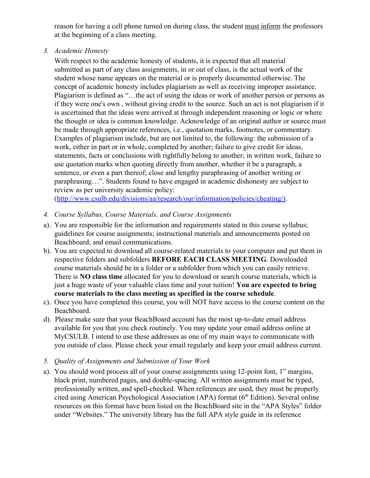reason for having a cell phone turned on during class, the student must inform the professors at the beginning of a class meeting.

*3. Academic Honesty*

With respect to the academic honesty of students, it is expected that all material submitted as part of any class assignments, in or out of class, is the actual work of the student whose name appears on the material or is properly documented otherwise. The concept of academic honesty includes plagiarism as well as receiving improper assistance. Plagiarism is defined as "…the act of using the ideas or work of another person or persons as if they were one's own , without giving credit to the source. Such an act is not plagiarism if it is ascertained that the ideas were arrived at through independent reasoning or logic or where the thought or idea is common knowledge. Acknowledge of an original author or source must be made through appropriate references, i.e., quotation marks, footnotes, or commentary. Examples of plagiarism include, but are not limited to, the following: the submission of a work, either in part or in whole, completed by another; failure to give credit for ideas, statements, facts or conclusions with rightfully belong to another; in written work, failure to use quotation marks when quoting directly from another, whether it be a paragraph, a sentence, or even a part thereof; close and lengthy paraphrasing of another writing or paraphrasing…". Students found to have engaged in academic dishonesty are subject to review as per university academic policy:

([http://www.csulb.edu/divisions/aa/research/our/information/policies/cheating/\)](http://www.csulb.edu/divisions/aa/research/our/information/policies/cheating/).

- *4. Course Syllabus, Course Materials, and Course Assignments*
- a). You are responsible for the information and requirements stated in this course syllabus; guidelines for course assignments; instructional materials and announcements posted on Beachboard; and email communications.
- b). You are expected to download all course-related materials to your computer and put them in respective folders and subfolders **BEFORE EACH CLASS MEETING**. Downloaded course materials should be in a folder or a subfolder from which you can easily retrieve. There is **NO class time** allocated for you to download or search course materials, which is just a huge waste of your valuable class time and your tuition! **You are expected to bring course materials to the class meeting as specified in the course schedule**.
- c). Once you have completed this course, you will NOT have access to the course content on the Beachboard.
- d). Please make sure that your BeachBoard account has the most up-to-date email address available for you that you check routinely. You may update your email address online at MyCSULB. I intend to use these addresses as one of my main ways to communicate with you outside of class. Please check your email regularly and keep your email address current.
- *5. Quality of Assignments and Submission of Your Work*
- a). You should word process all of your course assignments using 12-point font, 1" margins, black print, numbered pages, and double-spacing. All written assignments must be typed, professionally written, and spell-checked. When references are used, they must be properly cited using American Psychological Association (APA) format (6<sup>th</sup> Edition). Several online resources on this format have been listed on the BeachBoard site in the "APA Styles" folder under "Websites." The university library has the full APA style guide in its reference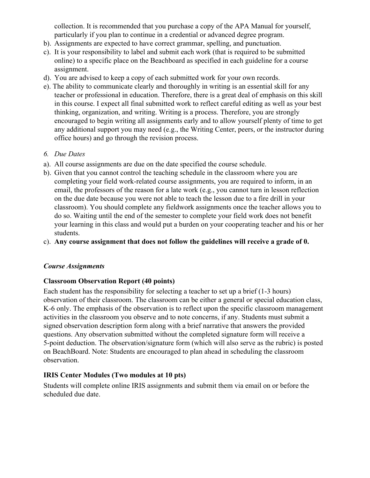collection. It is recommended that you purchase a copy of the APA Manual for yourself, particularly if you plan to continue in a credential or advanced degree program.

- b). Assignments are expected to have correct grammar, spelling, and punctuation.
- c). It is your responsibility to label and submit each work (that is required to be submitted online) to a specific place on the Beachboard as specified in each guideline for a course assignment.
- d). You are advised to keep a copy of each submitted work for your own records.
- e). The ability to communicate clearly and thoroughly in writing is an essential skill for any teacher or professional in education. Therefore, there is a great deal of emphasis on this skill in this course. I expect all final submitted work to reflect careful editing as well as your best thinking, organization, and writing. Writing is a process. Therefore, you are strongly encouraged to begin writing all assignments early and to allow yourself plenty of time to get any additional support you may need (e.g., the Writing Center, peers, or the instructor during office hours) and go through the revision process.
- *6. Due Dates*
- a). All course assignments are due on the date specified the course schedule.
- b). Given that you cannot control the teaching schedule in the classroom where you are completing your field work-related course assignments, you are required to inform, in an email, the professors of the reason for a late work (e.g., you cannot turn in lesson reflection on the due date because you were not able to teach the lesson due to a fire drill in your classroom). You should complete any fieldwork assignments once the teacher allows you to do so. Waiting until the end of the semester to complete your field work does not benefit your learning in this class and would put a burden on your cooperating teacher and his or her students.
- c). **Any course assignment that does not follow the guidelines will receive a grade of 0.**

## *Course Assignments*

## **Classroom Observation Report (40 points)**

Each student has the responsibility for selecting a teacher to set up a brief (1-3 hours) observation of their classroom. The classroom can be either a general or special education class, K-6 only. The emphasis of the observation is to reflect upon the specific classroom management activities in the classroom you observe and to note concerns, if any. Students must submit a signed observation description form along with a brief narrative that answers the provided questions. Any observation submitted without the completed signature form will receive a 5-point deduction. The observation/signature form (which will also serve as the rubric) is posted on BeachBoard. Note: Students are encouraged to plan ahead in scheduling the classroom observation.

## **IRIS Center Modules (Two modules at 10 pts)**

Students will complete online IRIS assignments and submit them via email on or before the scheduled due date.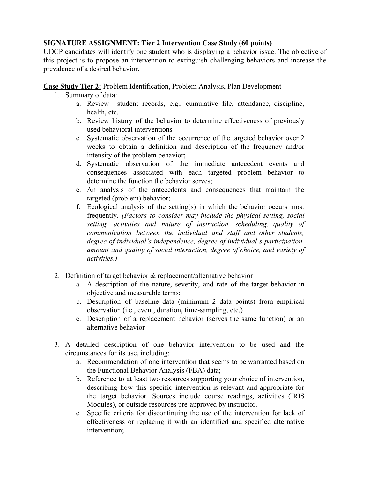#### **SIGNATURE ASSIGNMENT: Tier 2 Intervention Case Study (60 points)**

UDCP candidates will identify one student who is displaying a behavior issue. The objective of this project is to propose an intervention to extinguish challenging behaviors and increase the prevalence of a desired behavior.

**Case Study Tier 2:** Problem Identification, Problem Analysis, Plan Development

- 1. Summary of data:
	- a. Review student records, e.g., cumulative file, attendance, discipline, health, etc.
	- b. Review history of the behavior to determine effectiveness of previously used behavioral interventions
	- c. Systematic observation of the occurrence of the targeted behavior over 2 weeks to obtain a definition and description of the frequency and/or intensity of the problem behavior;
	- d. Systematic observation of the immediate antecedent events and consequences associated with each targeted problem behavior to determine the function the behavior serves;
	- e. An analysis of the antecedents and consequences that maintain the targeted (problem) behavior;
	- f. Ecological analysis of the setting(s) in which the behavior occurs most frequently. *(Factors to consider may include the physical setting, social setting, activities and nature of instruction, scheduling, quality of communication between the individual and staff and other students, degree of individual's independence, degree of individual's participation, amount and quality of social interaction, degree of choice, and variety of activities.)*
- 2. Definition of target behavior & replacement/alternative behavior
	- a. A description of the nature, severity, and rate of the target behavior in objective and measurable terms;
	- b. Description of baseline data (minimum 2 data points) from empirical observation (i.e., event, duration, time-sampling, etc.)
	- c. Description of a replacement behavior (serves the same function) or an alternative behavior
- 3. A detailed description of one behavior intervention to be used and the circumstances for its use, including:
	- a. Recommendation of one intervention that seems to be warranted based on the Functional Behavior Analysis (FBA) data;
	- b. Reference to at least two resources supporting your choice of intervention, describing how this specific intervention is relevant and appropriate for the target behavior. Sources include course readings, activities (IRIS Modules), or outside resources pre-approved by instructor.
	- c. Specific criteria for discontinuing the use of the intervention for lack of effectiveness or replacing it with an identified and specified alternative intervention;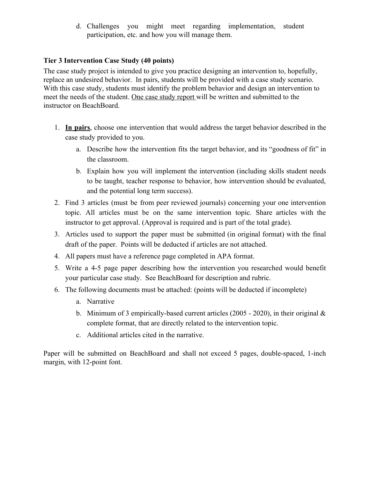d. Challenges you might meet regarding implementation, student participation, etc. and how you will manage them.

#### **Tier 3 Intervention Case Study (40 points)**

The case study project is intended to give you practice designing an intervention to, hopefully, replace an undesired behavior. In pairs, students will be provided with a case study scenario. With this case study, students must identify the problem behavior and design an intervention to meet the needs of the student. One case study report will be written and submitted to the instructor on BeachBoard.

- 1. **In pairs**, choose one intervention that would address the target behavior described in the case study provided to you.
	- a. Describe how the intervention fits the target behavior, and its "goodness of fit" in the classroom.
	- b. Explain how you will implement the intervention (including skills student needs to be taught, teacher response to behavior, how intervention should be evaluated, and the potential long term success).
- 2. Find 3 articles (must be from peer reviewed journals) concerning your one intervention topic. All articles must be on the same intervention topic. Share articles with the instructor to get approval. (Approval is required and is part of the total grade).
- 3. Articles used to support the paper must be submitted (in original format) with the final draft of the paper. Points will be deducted if articles are not attached.
- 4. All papers must have a reference page completed in APA format.
- 5. Write a 4-5 page paper describing how the intervention you researched would benefit your particular case study. See BeachBoard for description and rubric.
- 6. The following documents must be attached: (points will be deducted if incomplete)
	- a. Narrative
	- b. Minimum of 3 empirically-based current articles (2005 2020), in their original  $\&$ complete format, that are directly related to the intervention topic.
	- c. Additional articles cited in the narrative.

Paper will be submitted on BeachBoard and shall not exceed 5 pages, double-spaced, 1-inch margin, with 12-point font.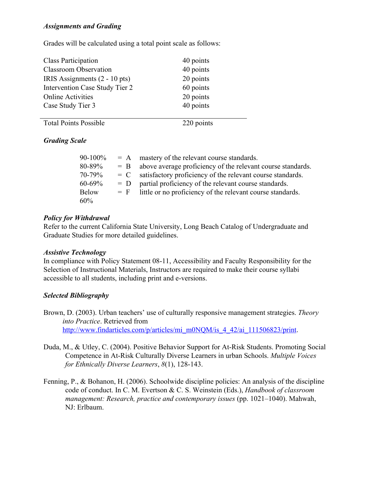#### *Assignments and Grading*

Grades will be calculated using a total point scale as follows:

| <b>Class Participation</b>     | 40 points |
|--------------------------------|-----------|
| <b>Classroom Observation</b>   | 40 points |
| IRIS Assignments (2 - 10 pts)  | 20 points |
| Intervention Case Study Tier 2 | 60 points |
| <b>Online Activities</b>       | 20 points |
| Case Study Tier 3              | 40 points |
|                                |           |

Total Points Possible 220 points

## *Grading Scale*

| $90-100\%$   | $= A$ | mastery of the relevant course standards.                   |
|--------------|-------|-------------------------------------------------------------|
| 80-89%       | $= B$ | above average proficiency of the relevant course standards. |
| 70-79%       | $= C$ | satisfactory proficiency of the relevant course standards.  |
| $60 - 69\%$  | $= D$ | partial proficiency of the relevant course standards.       |
| <b>Below</b> | $=$ F | little or no proficiency of the relevant course standards.  |
| 60%          |       |                                                             |

#### *Policy for Withdrawal*

Refer to the current California State University, Long Beach Catalog of Undergraduate and Graduate Studies for more detailed guidelines.

## *Assistive Technology*

In compliance with Policy Statement 08-11, Accessibility and Faculty Responsibility for the Selection of Instructional Materials, Instructors are required to make their course syllabi accessible to all students, including print and e-versions.

## *Selected Bibliography*

- Brown, D. (2003). Urban teachers' use of culturally responsive management strategies. *Theory into Practice*. Retrieved from [http://www.findarticles.com/p/articles/mi\\_m0NQM/is\\_4\\_42/ai\\_111506823/print](http://www.findarticles.com/p/articles/mi_m0NQM/is_4_42/ai_111506823/print).
- Duda, M., & Utley, C. (2004). Positive Behavior Support for At-Risk Students. Promoting Social Competence in At-Risk Culturally Diverse Learners in urban Schools. *Multiple Voices for Ethnically Diverse Learners*, *8*(1), 128-143.
- Fenning, P., & Bohanon, H. (2006). Schoolwide discipline policies: An analysis of the discipline code of conduct. In C. M. Evertson & C. S. Weinstein (Eds.), *Handbook of classroom management: Research, practice and contemporary issues* (pp. 1021–1040). Mahwah, NJ: Erlbaum.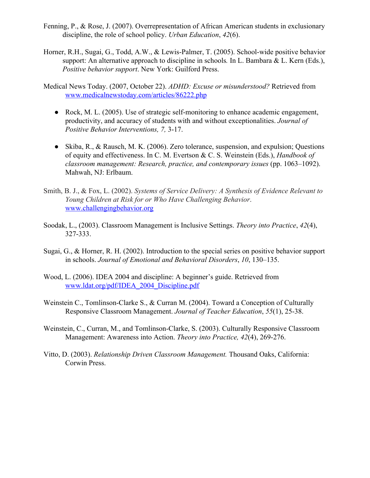- Fenning, P., & Rose, J. (2007). Overrepresentation of African American students in exclusionary discipline, the role of school policy. *Urban Education*, *42*(6).
- Horner, R.H., Sugai, G., Todd, A.W., & Lewis-Palmer, T. (2005). School-wide positive behavior support: An alternative approach to discipline in schools*.* In L. Bambara & L. Kern (Eds.), *Positive behavior support*. New York: Guilford Press.

Medical News Today. (2007, October 22). *ADHD: Excuse or misunderstood?* Retrieved from [www.medicalnewstoday.com/articles/86222.php](http://www.medicalnewstoday.com/articles/86222.php)

- $\bullet$  Rock, M. L. (2005). Use of strategic self-monitoring to enhance academic engagement, productivity, and accuracy of students with and without exceptionalities. *Journal of Positive Behavior Interventions, 7,* 3-17.
- Skiba, R., & Rausch, M. K. (2006). Zero tolerance, suspension, and expulsion; Questions of equity and effectiveness. In C. M. Evertson & C. S. Weinstein (Eds.), *Handbook of classroom management: Research, practice, and contemporary issues* (pp. 1063–1092). Mahwah, NJ: Erlbaum.
- Smith, B. J., & Fox, L. (2002). *Systems of Service Delivery: A Synthesis of Evidence Relevant to Young Children at Risk for or Who Have Challenging Behavior*. [www.challengingbehavior.org](http://www.challengingbehavior.org/)
- Soodak, L., (2003). Classroom Management is Inclusive Settings. *Theory into Practice*, *42*(4), 327-333.
- Sugai, G., & Horner, R. H. (2002). Introduction to the special series on positive behavior support in schools. *Journal of Emotional and Behavioral Disorders*, *10*, 130–135.
- Wood, L. (2006). IDEA 2004 and discipline: A beginner's guide. Retrieved from [www.ldat.org/pdf/IDEA\\_2004\\_Discipline.pdf](http://www.ldat.org/pdf/IDEA_2004_Discipline.pdf)
- Weinstein C., Tomlinson-Clarke S., & Curran M. (2004). Toward a Conception of Culturally Responsive Classroom Management. *Journal of Teacher Education*, *55*(1), 25-38.
- Weinstein, C., Curran, M., and Tomlinson-Clarke, S. (2003). Culturally Responsive Classroom Management: Awareness into Action. *Theory into Practice, 42*(4), 269-276.
- Vitto, D. (2003). *Relationship Driven Classroom Management.* Thousand Oaks, California: Corwin Press.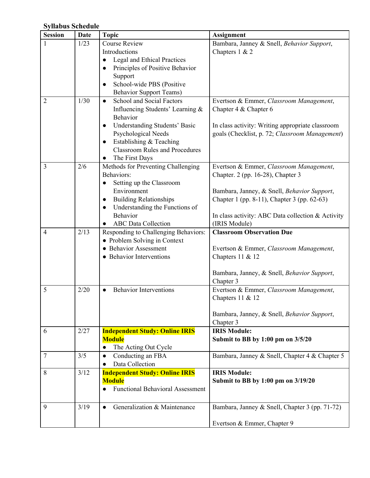# **Syllabus Schedule**

| <b>Session</b> | Date | <b>Topic</b>                                | <b>Assignment</b>                                 |
|----------------|------|---------------------------------------------|---------------------------------------------------|
|                | 1/23 | <b>Course Review</b>                        | Bambara, Janney & Snell, Behavior Support,        |
|                |      | Introductions                               | Chapters $1 & 2$                                  |
|                |      | Legal and Ethical Practices                 |                                                   |
|                |      | Principles of Positive Behavior             |                                                   |
|                |      | Support                                     |                                                   |
|                |      | School-wide PBS (Positive<br>$\bullet$      |                                                   |
|                |      | <b>Behavior Support Teams)</b>              |                                                   |
| 2              | 1/30 | School and Social Factors<br>$\bullet$      | Evertson & Emmer, Classroom Management,           |
|                |      | Influencing Students' Learning &            | Chapter 4 & Chapter 6                             |
|                |      | Behavior                                    |                                                   |
|                |      | Understanding Students' Basic<br>$\bullet$  | In class activity: Writing appropriate classroom  |
|                |      | Psychological Needs                         | goals (Checklist, p. 72; Classroom Management)    |
|                |      | Establishing & Teaching<br>$\bullet$        |                                                   |
|                |      | <b>Classroom Rules and Procedures</b>       |                                                   |
|                |      | The First Days                              |                                                   |
| 3              | 2/6  | Methods for Preventing Challenging          | Evertson & Emmer, Classroom Management,           |
|                |      | Behaviors:                                  | Chapter. 2 (pp. 16-28), Chapter 3                 |
|                |      | Setting up the Classroom                    |                                                   |
|                |      | Environment                                 | Bambara, Janney, & Snell, Behavior Support,       |
|                |      | <b>Building Relationships</b><br>$\bullet$  | Chapter 1 (pp. 8-11), Chapter 3 (pp. 62-63)       |
|                |      | Understanding the Functions of<br>$\bullet$ |                                                   |
|                |      | Behavior                                    | In class activity: ABC Data collection & Activity |
|                |      | <b>ABC</b> Data Collection                  | (IRIS Module)                                     |
| 4              | 2/13 | Responding to Challenging Behaviors:        | <b>Classroom Observation Due</b>                  |
|                |      | • Problem Solving in Context                |                                                   |
|                |      | <b>Behavior Assessment</b>                  | Evertson & Emmer, Classroom Management,           |
|                |      | • Behavior Interventions                    | Chapters 11 & 12                                  |
|                |      |                                             |                                                   |
|                |      |                                             | Bambara, Janney, & Snell, Behavior Support,       |
|                |      | <b>Behavior Interventions</b>               | Chapter 3                                         |
| 5              | 2/20 |                                             | Evertson & Emmer, Classroom Management,           |
|                |      |                                             | Chapters $11 & 12$                                |
|                |      |                                             | Bambara, Janney, & Snell, Behavior Support,       |
|                |      |                                             | Chapter 3                                         |
| 6              | 2/27 | <b>Independent Study: Online IRIS</b>       | <b>IRIS Module:</b>                               |
|                |      | <b>Module</b>                               | Submit to BB by 1:00 pm on 3/5/20                 |
|                |      | The Acting Out Cycle<br>$\bullet$           |                                                   |
| 7              | 3/5  | Conducting an FBA<br>$\bullet$              | Bambara, Janney & Snell, Chapter 4 & Chapter 5    |
|                |      | Data Collection                             |                                                   |
| 8              | 3/12 | <b>Independent Study: Online IRIS</b>       | <b>IRIS Module:</b>                               |
|                |      | <b>Module</b>                               | Submit to BB by 1:00 pm on 3/19/20                |
|                |      | <b>Functional Behavioral Assessment</b>     |                                                   |
|                |      |                                             |                                                   |
| 9              | 3/19 | Generalization & Maintenance<br>$\bullet$   | Bambara, Janney & Snell, Chapter 3 (pp. 71-72)    |
|                |      |                                             |                                                   |
|                |      |                                             | Evertson & Emmer, Chapter 9                       |